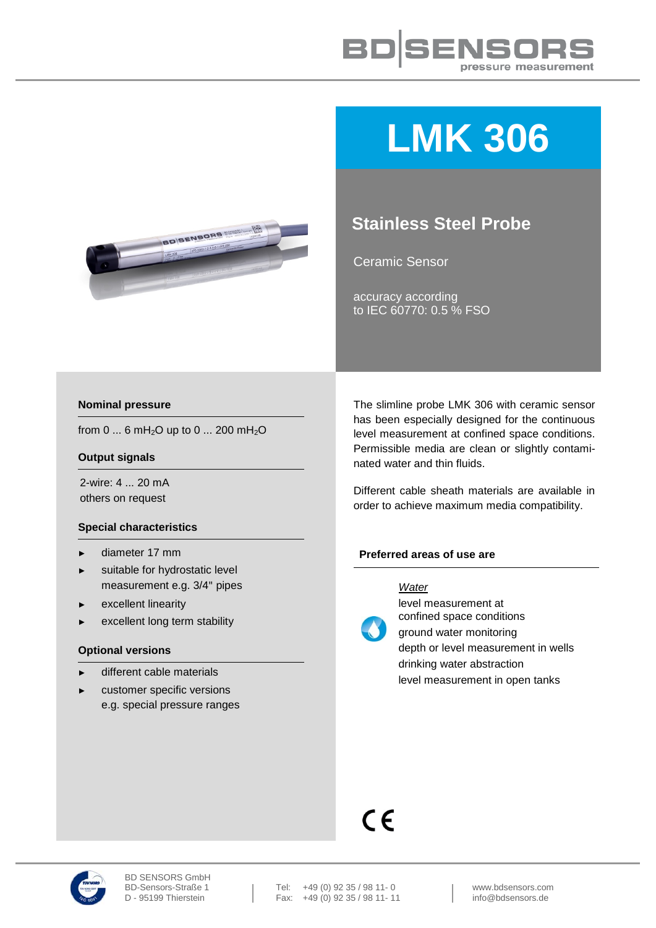

# **LMK 306**

## **Stainless Steel Probe**

Ceramic Sensor

accuracy according to IEC 60770: 0.5 % FSO

#### **Nominal pressure**

from 0 ... 6 mH<sub>2</sub>O up to 0 ... 200 mH<sub>2</sub>O

#### **Output signals**

2-wire: 4 ... 20 mA others on request

#### **Special characteristics**

- ► diameter 17 mm
- ► suitable for hydrostatic level measurement e.g. 3/4" pipes
- ► excellent linearity
- excellent long term stability

#### **Optional versions**

- different cable materials
- ► customer specific versions e.g. special pressure ranges

The slimline probe LMK 306 with ceramic sensor has been especially designed for the continuous level measurement at confined space conditions. Permissible media are clean or slightly contaminated water and thin fluids.

Different cable sheath materials are available in order to achieve maximum media compatibility.

#### **Preferred areas of use are**

#### *Water*



level measurement at confined space conditions ground water monitoring

depth or level measurement in wells drinking water abstraction level measurement in open tanks

# $C \in$

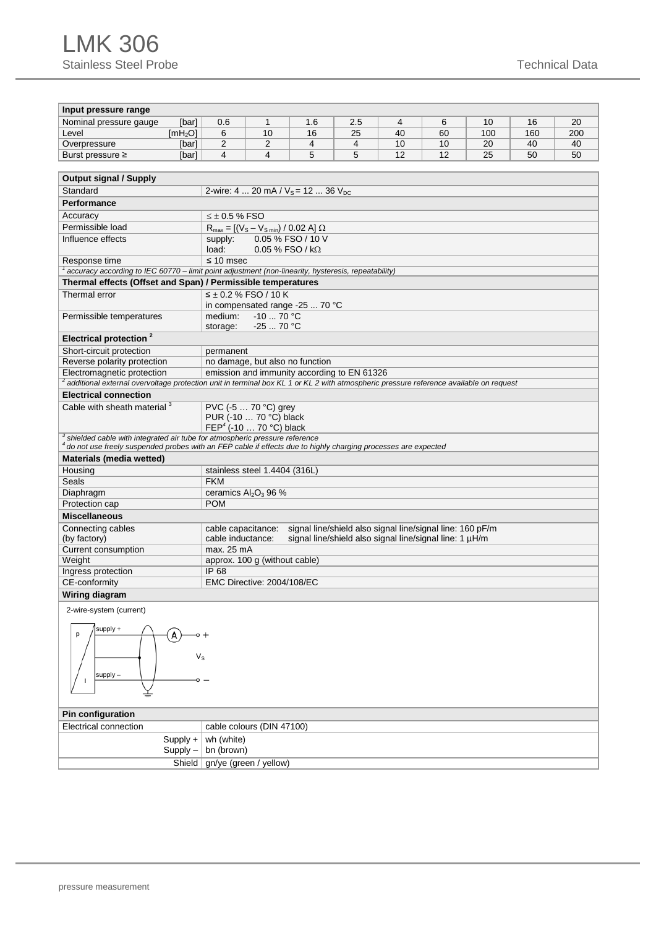### LMK 306 Stainless Steel Probe Technical Data

| Input pressure range                                                                                                                                                                                  |                          |                                                 |                                                  |                                                     |                       |                                                                                                                      |  |  |  |     |  |  |  |  |  |  |
|-------------------------------------------------------------------------------------------------------------------------------------------------------------------------------------------------------|--------------------------|-------------------------------------------------|--------------------------------------------------|-----------------------------------------------------|-----------------------|----------------------------------------------------------------------------------------------------------------------|--|--|--|-----|--|--|--|--|--|--|
| Nominal pressure gauge                                                                                                                                                                                | [bar]                    |                                                 |                                                  | $\overline{4}$<br>6<br>0.6<br>1<br>1.6<br>2.5<br>10 |                       |                                                                                                                      |  |  |  |     |  |  |  |  |  |  |
| Level                                                                                                                                                                                                 | [mH <sub>2</sub> O]      | 6                                               | 10                                               | 16                                                  | 40<br>100<br>25<br>60 |                                                                                                                      |  |  |  | 200 |  |  |  |  |  |  |
| Overpressure                                                                                                                                                                                          | [bar]                    | 2                                               | 40                                               | 40                                                  |                       |                                                                                                                      |  |  |  |     |  |  |  |  |  |  |
| Burst pressure $\geq$                                                                                                                                                                                 | [bar]                    | $\overline{4}$                                  | $\overline{4}$<br>5<br>5<br>12<br>12<br>25<br>50 |                                                     |                       |                                                                                                                      |  |  |  |     |  |  |  |  |  |  |
|                                                                                                                                                                                                       |                          |                                                 |                                                  |                                                     |                       |                                                                                                                      |  |  |  |     |  |  |  |  |  |  |
| <b>Output signal / Supply</b>                                                                                                                                                                         |                          |                                                 |                                                  |                                                     |                       |                                                                                                                      |  |  |  |     |  |  |  |  |  |  |
| Standard                                                                                                                                                                                              |                          | 2-wire: 4  20 mA / $V_s$ = 12  36 $V_{DC}$      |                                                  |                                                     |                       |                                                                                                                      |  |  |  |     |  |  |  |  |  |  |
| Performance                                                                                                                                                                                           |                          |                                                 |                                                  |                                                     |                       |                                                                                                                      |  |  |  |     |  |  |  |  |  |  |
| Accuracy                                                                                                                                                                                              |                          | $< +0.5$ % FSO                                  |                                                  |                                                     |                       |                                                                                                                      |  |  |  |     |  |  |  |  |  |  |
| Permissible load                                                                                                                                                                                      |                          | $R_{max} = [(V_s - V_{s min}) / 0.02 A] \Omega$ |                                                  |                                                     |                       |                                                                                                                      |  |  |  |     |  |  |  |  |  |  |
| Influence effects                                                                                                                                                                                     |                          | 0.05 % FSO / 10 V<br>supply:                    |                                                  |                                                     |                       |                                                                                                                      |  |  |  |     |  |  |  |  |  |  |
|                                                                                                                                                                                                       |                          | load:<br>$0.05\%$ FSO / k $\Omega$              |                                                  |                                                     |                       |                                                                                                                      |  |  |  |     |  |  |  |  |  |  |
| Response time                                                                                                                                                                                         |                          | $\leq 10$ msec                                  |                                                  |                                                     |                       |                                                                                                                      |  |  |  |     |  |  |  |  |  |  |
| accuracy according to IEC 60770 – limit point adjustment (non-linearity, hysteresis, repeatability) $^1$                                                                                              |                          |                                                 |                                                  |                                                     |                       |                                                                                                                      |  |  |  |     |  |  |  |  |  |  |
| Thermal effects (Offset and Span) / Permissible temperatures                                                                                                                                          |                          |                                                 |                                                  |                                                     |                       |                                                                                                                      |  |  |  |     |  |  |  |  |  |  |
| Thermal error                                                                                                                                                                                         |                          | $\leq \pm 0.2$ % FSO / 10 K                     |                                                  |                                                     |                       |                                                                                                                      |  |  |  |     |  |  |  |  |  |  |
|                                                                                                                                                                                                       |                          |                                                 |                                                  | in compensated range -25  70 °C                     |                       |                                                                                                                      |  |  |  |     |  |  |  |  |  |  |
| Permissible temperatures                                                                                                                                                                              |                          | medium:                                         | $-10$ 70 °C                                      |                                                     |                       |                                                                                                                      |  |  |  |     |  |  |  |  |  |  |
|                                                                                                                                                                                                       |                          | storage:                                        | $-2570 °C$                                       |                                                     |                       |                                                                                                                      |  |  |  |     |  |  |  |  |  |  |
| Electrical protection <sup>2</sup>                                                                                                                                                                    |                          |                                                 |                                                  |                                                     |                       |                                                                                                                      |  |  |  |     |  |  |  |  |  |  |
| Short-circuit protection<br>permanent                                                                                                                                                                 |                          |                                                 |                                                  |                                                     |                       |                                                                                                                      |  |  |  |     |  |  |  |  |  |  |
| Reverse polarity protection                                                                                                                                                                           |                          | no damage, but also no function                 |                                                  |                                                     |                       |                                                                                                                      |  |  |  |     |  |  |  |  |  |  |
| Electromagnetic protection                                                                                                                                                                            |                          |                                                 |                                                  | emission and immunity according to EN 61326         |                       |                                                                                                                      |  |  |  |     |  |  |  |  |  |  |
| <sup>2</sup> additional external overvoltage protection unit in terminal box KL 1 or KL 2 with atmospheric pressure reference available on request                                                    |                          |                                                 |                                                  |                                                     |                       |                                                                                                                      |  |  |  |     |  |  |  |  |  |  |
| <b>Electrical connection</b>                                                                                                                                                                          |                          |                                                 |                                                  |                                                     |                       |                                                                                                                      |  |  |  |     |  |  |  |  |  |  |
| Cable with sheath material <sup>3</sup>                                                                                                                                                               |                          |                                                 | PVC (-5  70 °C) grey                             |                                                     |                       |                                                                                                                      |  |  |  |     |  |  |  |  |  |  |
|                                                                                                                                                                                                       |                          | PUR (-10  70 °C) black                          |                                                  |                                                     |                       |                                                                                                                      |  |  |  |     |  |  |  |  |  |  |
|                                                                                                                                                                                                       |                          | FEP <sup>4</sup> (-10  70 °C) black             |                                                  |                                                     |                       |                                                                                                                      |  |  |  |     |  |  |  |  |  |  |
| $^3$ shielded cable with integrated air tube for atmospheric pressure reference<br>$^4$ do not use freely suspended probes with an FEP cable if effects due to highly charging processes are expected |                          |                                                 |                                                  |                                                     |                       |                                                                                                                      |  |  |  |     |  |  |  |  |  |  |
| <b>Materials (media wetted)</b>                                                                                                                                                                       |                          |                                                 |                                                  |                                                     |                       |                                                                                                                      |  |  |  |     |  |  |  |  |  |  |
|                                                                                                                                                                                                       |                          |                                                 |                                                  |                                                     |                       |                                                                                                                      |  |  |  |     |  |  |  |  |  |  |
| Housing<br>Seals                                                                                                                                                                                      |                          | <b>FKM</b>                                      | stainless steel 1.4404 (316L)                    |                                                     |                       |                                                                                                                      |  |  |  |     |  |  |  |  |  |  |
| Diaphragm                                                                                                                                                                                             |                          | ceramics Al <sub>2</sub> O <sub>3</sub> 96 %    |                                                  |                                                     |                       |                                                                                                                      |  |  |  |     |  |  |  |  |  |  |
| Protection cap                                                                                                                                                                                        |                          | <b>POM</b>                                      |                                                  |                                                     |                       |                                                                                                                      |  |  |  |     |  |  |  |  |  |  |
| <b>Miscellaneous</b>                                                                                                                                                                                  |                          |                                                 |                                                  |                                                     |                       |                                                                                                                      |  |  |  |     |  |  |  |  |  |  |
|                                                                                                                                                                                                       |                          |                                                 |                                                  |                                                     |                       |                                                                                                                      |  |  |  |     |  |  |  |  |  |  |
| Connecting cables<br>(by factory)                                                                                                                                                                     |                          | cable capacitance:<br>cable inductance:         |                                                  |                                                     |                       | signal line/shield also signal line/signal line: 160 pF/m<br>signal line/shield also signal line/signal line: 1 µH/m |  |  |  |     |  |  |  |  |  |  |
| Current consumption                                                                                                                                                                                   |                          | max. 25 mA                                      |                                                  |                                                     |                       |                                                                                                                      |  |  |  |     |  |  |  |  |  |  |
| Weight                                                                                                                                                                                                |                          |                                                 | approx. 100 g (without cable)                    |                                                     |                       |                                                                                                                      |  |  |  |     |  |  |  |  |  |  |
| Ingress protection                                                                                                                                                                                    |                          | IP 68                                           |                                                  |                                                     |                       |                                                                                                                      |  |  |  |     |  |  |  |  |  |  |
| CE-conformity                                                                                                                                                                                         |                          |                                                 | EMC Directive: 2004/108/EC                       |                                                     |                       |                                                                                                                      |  |  |  |     |  |  |  |  |  |  |
| Wiring diagram                                                                                                                                                                                        |                          |                                                 |                                                  |                                                     |                       |                                                                                                                      |  |  |  |     |  |  |  |  |  |  |
|                                                                                                                                                                                                       |                          |                                                 |                                                  |                                                     |                       |                                                                                                                      |  |  |  |     |  |  |  |  |  |  |
| 2-wire-system (current)                                                                                                                                                                               |                          |                                                 |                                                  |                                                     |                       |                                                                                                                      |  |  |  |     |  |  |  |  |  |  |
| supply +                                                                                                                                                                                              |                          |                                                 |                                                  |                                                     |                       |                                                                                                                      |  |  |  |     |  |  |  |  |  |  |
| p                                                                                                                                                                                                     |                          |                                                 |                                                  |                                                     |                       |                                                                                                                      |  |  |  |     |  |  |  |  |  |  |
|                                                                                                                                                                                                       |                          |                                                 |                                                  |                                                     |                       |                                                                                                                      |  |  |  |     |  |  |  |  |  |  |
| Vs                                                                                                                                                                                                    |                          |                                                 |                                                  |                                                     |                       |                                                                                                                      |  |  |  |     |  |  |  |  |  |  |
| supply-                                                                                                                                                                                               |                          |                                                 |                                                  |                                                     |                       |                                                                                                                      |  |  |  |     |  |  |  |  |  |  |
|                                                                                                                                                                                                       |                          |                                                 |                                                  |                                                     |                       |                                                                                                                      |  |  |  |     |  |  |  |  |  |  |
|                                                                                                                                                                                                       |                          |                                                 |                                                  |                                                     |                       |                                                                                                                      |  |  |  |     |  |  |  |  |  |  |
|                                                                                                                                                                                                       |                          |                                                 |                                                  |                                                     |                       |                                                                                                                      |  |  |  |     |  |  |  |  |  |  |
| Pin configuration                                                                                                                                                                                     |                          |                                                 |                                                  |                                                     |                       |                                                                                                                      |  |  |  |     |  |  |  |  |  |  |
| Electrical connection                                                                                                                                                                                 |                          | cable colours (DIN 47100)                       |                                                  |                                                     |                       |                                                                                                                      |  |  |  |     |  |  |  |  |  |  |
|                                                                                                                                                                                                       | $Supply +$               | wh (white)                                      |                                                  |                                                     |                       |                                                                                                                      |  |  |  |     |  |  |  |  |  |  |
|                                                                                                                                                                                                       | bn (brown)<br>$Supply -$ |                                                 |                                                  |                                                     |                       |                                                                                                                      |  |  |  |     |  |  |  |  |  |  |
|                                                                                                                                                                                                       |                          | Shield   gn/ye (green / yellow)                 |                                                  |                                                     |                       |                                                                                                                      |  |  |  |     |  |  |  |  |  |  |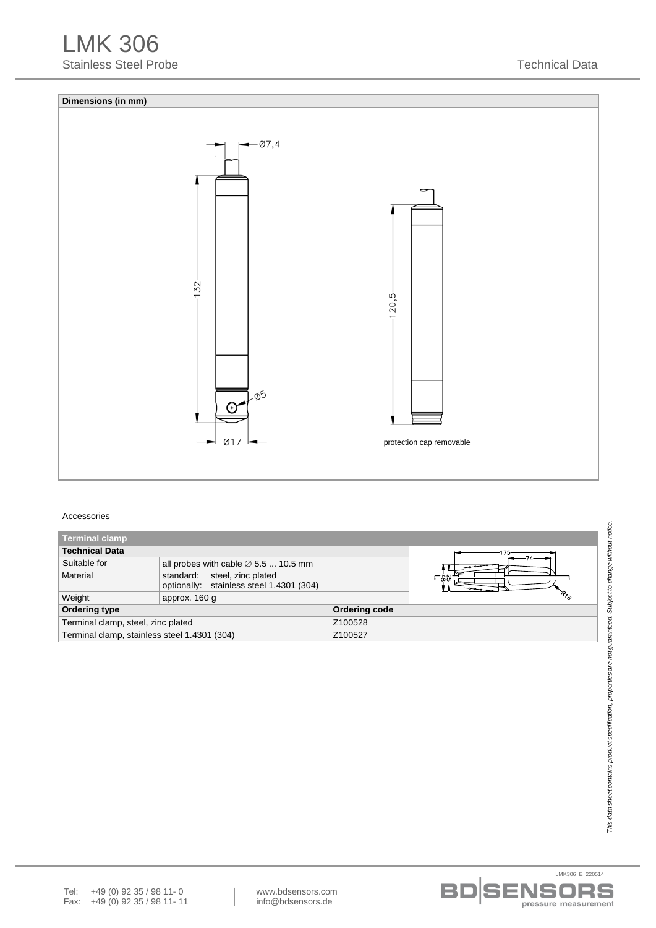

#### Accessories

| <b>Terminal clamp</b>                        |                                                                          |               |                    |  |  |  |  |  |  |
|----------------------------------------------|--------------------------------------------------------------------------|---------------|--------------------|--|--|--|--|--|--|
| <b>Technical Data</b>                        |                                                                          |               |                    |  |  |  |  |  |  |
| Suitable for                                 | all probes with cable $\varnothing$ 5.5  10.5 mm                         |               |                    |  |  |  |  |  |  |
| Material                                     | standard: steel, zinc plated<br>optionally: stainless steel 1.4301 (304) |               |                    |  |  |  |  |  |  |
| Weight                                       | approx. 160 g                                                            |               | $\frac{1}{\gamma}$ |  |  |  |  |  |  |
| <b>Ordering type</b>                         |                                                                          | Ordering code |                    |  |  |  |  |  |  |
| Terminal clamp, steel, zinc plated           |                                                                          | Z100528       |                    |  |  |  |  |  |  |
| Terminal clamp, stainless steel 1.4301 (304) |                                                                          | Z100527       |                    |  |  |  |  |  |  |